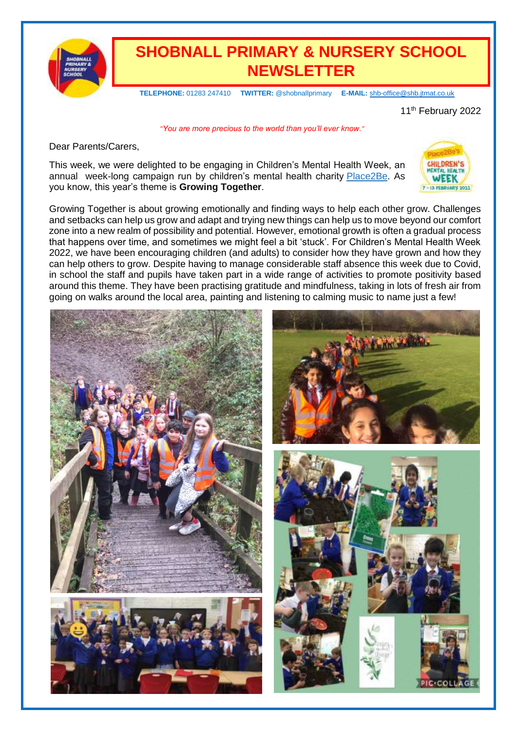

## **SHOBNALL PRIMARY & NURSERY SCHOOL NEWSLETTER**

 **TELEPHONE:** 01283 247410 **TWITTER:** @shobnallprimary **E-MAIL:** [shb-office@shb.jtmat.co.uk](mailto:shb-office@shb.jtmat.co.uk)

11<sup>th</sup> February 2022

*"You are more precious to the world than you'll ever know."*

Dear Parents/Carers,

This week, we were delighted to be engaging in Children's Mental Health Week, an annual week-long campaign run by children's mental health charity [Place2Be.](https://www.childrensmentalhealthweek.org.uk/?utm_source=8%20February%202022%20C19&utm_medium=Daily%20Email%20C19&utm_campaign=DfE%20C19) As you know, this year's theme is **Growing Together**.



Growing Together is about growing emotionally and finding ways to help each other grow. Challenges and setbacks can help us grow and adapt and trying new things can help us to move beyond our comfort zone into a new realm of possibility and potential. However, emotional growth is often a gradual process that happens over time, and sometimes we might feel a bit 'stuck'. For Children's Mental Health Week 2022, we have been encouraging children (and adults) to consider how they have grown and how they can help others to grow. Despite having to manage considerable staff absence this week due to Covid, in school the staff and pupils have taken part in a wide range of activities to promote positivity based around this theme. They have been practising gratitude and mindfulness, taking in lots of fresh air from going on walks around the local area, painting and listening to calming music to name just a few!

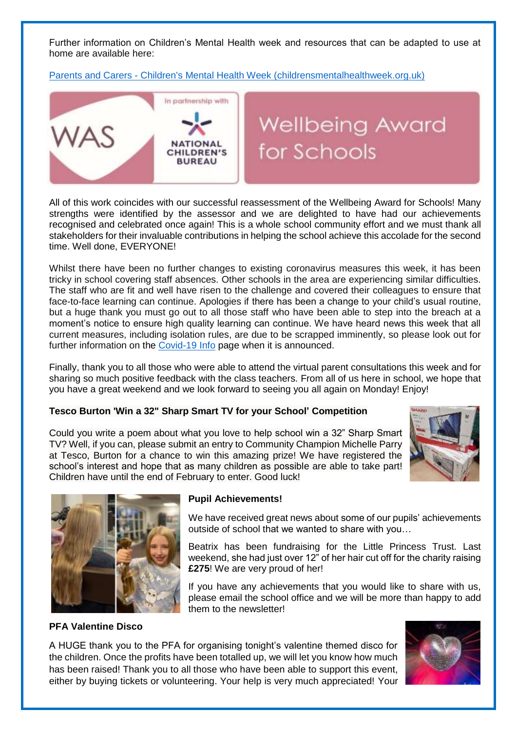Further information on Children's Mental Health week and resources that can be adapted to use at home are available here:

Parents and Carers - [Children's Mental Health Week \(childrensmentalhealthweek.org.uk\)](https://www.childrensmentalhealthweek.org.uk/parents-and-carers/)



All of this work coincides with our successful reassessment of the Wellbeing Award for Schools! Many strengths were identified by the assessor and we are delighted to have had our achievements recognised and celebrated once again! This is a whole school community effort and we must thank all stakeholders for their invaluable contributions in helping the school achieve this accolade for the second time. Well done, EVERYONE!

Whilst there have been no further changes to existing coronavirus measures this week, it has been tricky in school covering staff absences. Other schools in the area are experiencing similar difficulties. The staff who are fit and well have risen to the challenge and covered their colleagues to ensure that face-to-face learning can continue. Apologies if there has been a change to your child's usual routine, but a huge thank you must go out to all those staff who have been able to step into the breach at a moment's notice to ensure high quality learning can continue. We have heard news this week that all current measures, including isolation rules, are due to be scrapped imminently, so please look out for further information on the [Covid-19 Info](https://shobnallprimaryschool.co.uk/covid-19/) page when it is announced.

Finally, thank you to all those who were able to attend the virtual parent consultations this week and for sharing so much positive feedback with the class teachers. From all of us here in school, we hope that you have a great weekend and we look forward to seeing you all again on Monday! Enjoy!

#### **Tesco Burton 'Win a 32" Sharp Smart TV for your School' Competition**

Could you write a poem about what you love to help school win a 32" Sharp Smart TV? Well, if you can, please submit an entry to Community Champion Michelle Parry at Tesco, Burton for a chance to win this amazing prize! We have registered the school's interest and hope that as many children as possible are able to take part! Children have until the end of February to enter. Good luck!





#### **Pupil Achievements!**

We have received great news about some of our pupils' achievements outside of school that we wanted to share with you…

Beatrix has been fundraising for the Little Princess Trust. Last weekend, she had just over 12" of her hair cut off for the charity raising **£275**! We are very proud of her!

If you have any achievements that you would like to share with us, please email the school office and we will be more than happy to add them to the newsletter!

#### **PFA Valentine Disco**

A HUGE thank you to the PFA for organising tonight's valentine themed disco for the children. Once the profits have been totalled up, we will let you know how much has been raised! Thank you to all those who have been able to support this event, either by buying tickets or volunteering. Your help is very much appreciated! Your

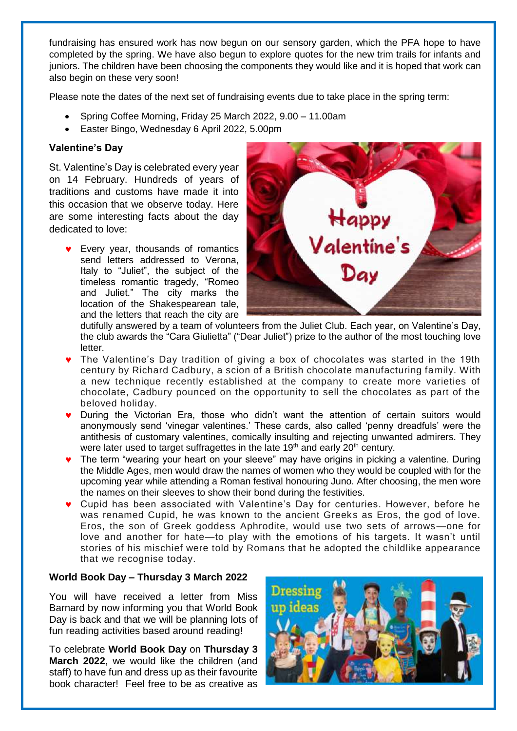fundraising has ensured work has now begun on our sensory garden, which the PFA hope to have completed by the spring. We have also begun to explore quotes for the new trim trails for infants and juniors. The children have been choosing the components they would like and it is hoped that work can also begin on these very soon!

Please note the dates of the next set of fundraising events due to take place in the spring term:

- Spring Coffee Morning, Friday 25 March 2022, 9.00 11.00am
- Easter Bingo, Wednesday 6 April 2022, 5.00pm

#### **Valentine's Day**

St. Valentine's Day is celebrated every year on 14 February. Hundreds of years of traditions and customs have made it into this occasion that we observe today. Here are some interesting facts about the day dedicated to love:

 Every year, thousands of romantics send letters addressed to Verona, Italy to "Juliet", the subject of the timeless romantic tragedy, "Romeo and Juliet." The city marks the location of the Shakespearean tale, and the letters that reach the city are



dutifully answered by a team of volunteers from the Juliet Club. Each year, on Valentine's Day, the club awards the "Cara Giulietta" ("Dear Juliet") prize to the author of the most touching love letter.

- The Valentine's Day tradition of giving a box of chocolates was started in the 19th century by Richard Cadbury, a scion of a British chocolate manufacturing family. With a new technique recently established at the company to create more varieties of chocolate, Cadbury pounced on the opportunity to sell the chocolates as part of the beloved holiday.
- During the Victorian Era, those who didn't want the attention of certain suitors would anonymously send 'vinegar valentines.' These cards, also called 'penny dreadfuls' were the antithesis of customary valentines, comically insulting and rejecting unwanted admirers. They were later used to target suffragettes in the late 19<sup>th</sup> and early 20<sup>th</sup> century.
- The term "wearing your heart on your sleeve" may have origins in picking a valentine. During the Middle Ages, men would draw the names of women who they would be coupled with for the upcoming year while attending a Roman festival honouring Juno. After choosing, the men wore the names on their sleeves to show their bond during the festivities.
- Cupid has been associated with Valentine's Day for centuries. However, before he was renamed Cupid, he was known to the ancient Greeks as Eros, the god of love. Eros, the son of Greek goddess Aphrodite, would use two sets of arrows—one for love and another for hate—to play with the emotions of his targets. It wasn't until stories of his mischief were told by Romans that he adopted the childlike appearance that we recognise today.

#### **World Book Day – Thursday 3 March 2022**

You will have received a letter from Miss Barnard by now informing you that World Book Day is back and that we will be planning lots of fun reading activities based around reading!

To celebrate **World Book Day** on **Thursday 3 March 2022**, we would like the children (and staff) to have fun and dress up as their favourite book character! Feel free to be as creative as

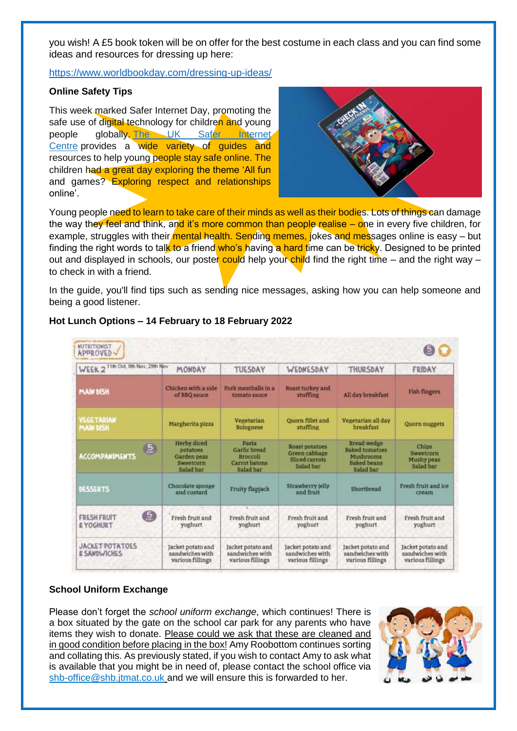you wish! A £5 book token will be on offer for the best costume in each class and you can find some ideas and resources for dressing up here:

<https://www.worldbookday.com/dressing-up-ideas/>

#### **Online Safety Tips**

This week marked Safer Internet Day, promoting the safe use of digital technology for children and young people globally. The UK Safer [Internet](https://saferinternet.org.uk/guide-and-resource/teachers-and-school-staff?utm_source=8%20February%202022%20C19&utm_medium=Daily%20Email%20C19&utm_campaign=DfE%20C19) [Centre](https://saferinternet.org.uk/guide-and-resource/teachers-and-school-staff?utm_source=8%20February%202022%20C19&utm_medium=Daily%20Email%20C19&utm_campaign=DfE%20C19) provides a wide variety of guides and resources to help young people stay safe online. The children had a great day exploring the theme 'All fun and games? Exploring respect and relationships online'.



Young people need to learn to take care of their minds as well as their bodies. Lots of things can damage the way they feel and think, and it's more common than people realise – one in every five children, for example, struggles with their *mental health. Sending memes, jokes and messages online is easy – but* finding the right words to talk to a friend who's having a hard time can be tricky. Designed to be printed out and displayed in schools, our poster could help your child find the right time – and the right way – to check in with a friend.

In the guide, you'll find tips such as sending nice messages, asking how you can help someone and being a good listener.

| 11th Oct. 8th Nov. 29th Nov.<br>WEEK <sub>2</sub>    | MONDAY                                                                  | TUESDAY                                                                | WEDNESDAY                                                             | THURSDAY                                                                                    | FRIDAY                                                   |
|------------------------------------------------------|-------------------------------------------------------------------------|------------------------------------------------------------------------|-----------------------------------------------------------------------|---------------------------------------------------------------------------------------------|----------------------------------------------------------|
| <b>MAIN DISH</b>                                     | Chicken with a side<br>of BBQ sauce                                     | Pork meatballs in a<br>tomato sauce                                    | Roust turkey and<br>stuffing                                          | All day breakfast                                                                           | Fish fingers                                             |
| <b>VEGETARIAN</b><br><b>MAIN DISH</b>                | Margherita pizza                                                        | Vegetarian<br><b>Bolognese</b>                                         | Quorn fillet and<br>stuffing                                          | Vegetarian all day<br>breakfast                                                             | <b>Quorn nuggets</b>                                     |
| $\mathbf{5}$<br><b>ACCOMPANIMENTS</b>                | <b>Herby</b> diced<br>potatoes<br>Garden peas<br>Sweetcorn<br>Salad bar | <b>Pasta</b><br>Garlic bread<br>Broccoli<br>Carrot batons<br>Salad bar | <b>Roast potatoes</b><br>Green cabbage<br>Sliced carrots<br>Salad bar | Bread wedge<br><b>Baked</b> tomatoes<br><b>Mushrooms</b><br><b>Baked</b> beans<br>Salad bar | Chins<br>Sweetcorn<br>Mushy peas<br>Salad bar            |
| DESSERTS                                             | Chocolate sponge<br>and custard                                         | Fruity flapjack                                                        | Strawberry jelly<br>and fruit                                         | Shortbread                                                                                  | Fresh fruit and ice<br>cream                             |
| 6<br><b>FRESH FRUIT</b><br><b>E YOGHURT</b>          | Fresh fruit and<br>voghurt                                              | Fresh fruit and<br>yoghurt                                             | Fresh fruit and<br>yoghurt                                            | Fresh fruit and<br>yoghurt                                                                  | Fresh fruit and<br>yoghurt                               |
| <b>JACKET POTATOES</b><br><b><i>E SAMDWICHES</i></b> | Jacket potato and<br>sandwiches with<br>various fillings                | Jacket potato and<br>sandwiches with<br>various fillings               | Jacket potato and<br>sandwiches with<br>various fillings              | Jacket potato and<br>sandwiches with<br>various fillings                                    | Jacket potato and<br>sandwiches with<br>various fillings |

#### **Hot Lunch Options – 14 February to 18 February 2022**

#### **School Uniform Exchange**

Please don't forget the *school uniform exchange*, which continues! There is a box situated by the gate on the school car park for any parents who have items they wish to donate. Please could we ask that these are cleaned and in good condition before placing in the box! Amy Roobottom continues sorting and collating this. As previously stated, if you wish to contact Amy to ask what is available that you might be in need of, please contact the school office via [shb-office@shb.jtmat.co.uk](mailto:shb-office@shb.jtmat.co.uk) and we will ensure this is forwarded to her.

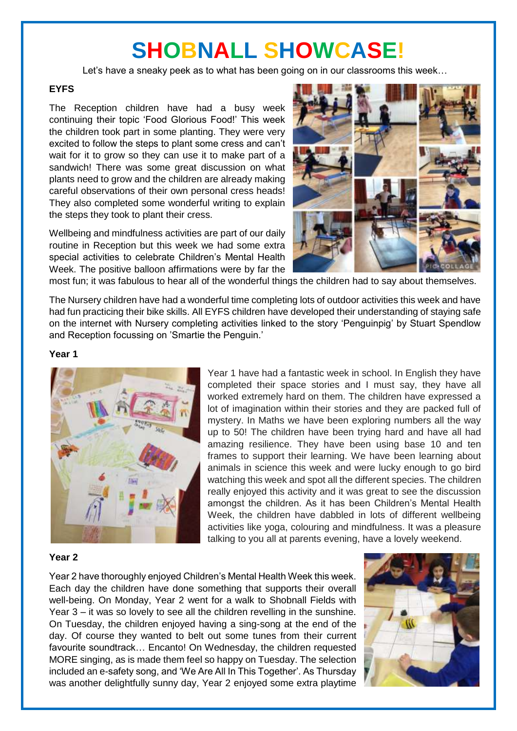# **SHOBNALL SHOWCASE!**

Let's have a sneaky peek as to what has been going on in our classrooms this week…

#### **EYFS**

The Reception children have had a busy week continuing their topic 'Food Glorious Food!' This week the children took part in some planting. They were very excited to follow the steps to plant some cress and can't wait for it to grow so they can use it to make part of a sandwich! There was some great discussion on what plants need to grow and the children are already making careful observations of their own personal cress heads! They also completed some wonderful writing to explain the steps they took to plant their cress.

Wellbeing and mindfulness activities are part of our daily routine in Reception but this week we had some extra special activities to celebrate Children's Mental Health Week. The positive balloon affirmations were by far the



most fun; it was fabulous to hear all of the wonderful things the children had to say about themselves.

The Nursery children have had a wonderful time completing lots of outdoor activities this week and have had fun practicing their bike skills. All EYFS children have developed their understanding of staying safe on the internet with Nursery completing activities linked to the story 'Penguinpig' by Stuart Spendlow and Reception focussing on 'Smartie the Penguin.'

#### **Year 1**



Year 1 have had a fantastic week in school. In English they have completed their space stories and I must say, they have all worked extremely hard on them. The children have expressed a lot of imagination within their stories and they are packed full of mystery. In Maths we have been exploring numbers all the way up to 50! The children have been trying hard and have all had amazing resilience. They have been using base 10 and ten frames to support their learning. We have been learning about animals in science this week and were lucky enough to go bird watching this week and spot all the different species. The children really enjoyed this activity and it was great to see the discussion amongst the children. As it has been Children's Mental Health Week, the children have dabbled in lots of different wellbeing activities like yoga, colouring and mindfulness. It was a pleasure talking to you all at parents evening, have a lovely weekend.

#### **Year 2**

Year 2 have thoroughly enjoyed Children's Mental Health Week this week. Each day the children have done something that supports their overall well-being. On Monday, Year 2 went for a walk to Shobnall Fields with Year 3 – it was so lovely to see all the children revelling in the sunshine. On Tuesday, the children enjoyed having a sing-song at the end of the day. Of course they wanted to belt out some tunes from their current favourite soundtrack… Encanto! On Wednesday, the children requested MORE singing, as is made them feel so happy on Tuesday. The selection included an e-safety song, and 'We Are All In This Together'. As Thursday was another delightfully sunny day, Year 2 enjoyed some extra playtime

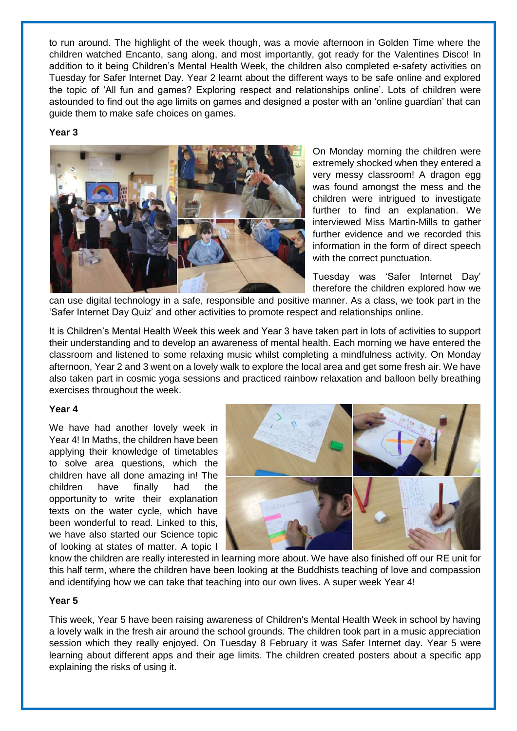to run around. The highlight of the week though, was a movie afternoon in Golden Time where the children watched Encanto, sang along, and most importantly, got ready for the Valentines Disco! In addition to it being Children's Mental Health Week, the children also completed e-safety activities on Tuesday for Safer Internet Day. Year 2 learnt about the different ways to be safe online and explored the topic of 'All fun and games? Exploring respect and relationships online'. Lots of children were astounded to find out the age limits on games and designed a poster with an 'online guardian' that can guide them to make safe choices on games.

#### **Year 3**



On Monday morning the children were extremely shocked when they entered a very messy classroom! A dragon egg was found amongst the mess and the children were intrigued to investigate further to find an explanation. We interviewed Miss Martin-Mills to gather further evidence and we recorded this information in the form of direct speech with the correct punctuation.

Tuesday was 'Safer Internet Day' therefore the children explored how we

can use digital technology in a safe, responsible and positive manner. As a class, we took part in the 'Safer Internet Day Quiz' and other activities to promote respect and relationships online.

It is Children's Mental Health Week this week and Year 3 have taken part in lots of activities to support their understanding and to develop an awareness of mental health. Each morning we have entered the classroom and listened to some relaxing music whilst completing a mindfulness activity. On Monday afternoon, Year 2 and 3 went on a lovely walk to explore the local area and get some fresh air. We have also taken part in cosmic yoga sessions and practiced rainbow relaxation and balloon belly breathing exercises throughout the week.

#### **Year 4**

We have had another lovely week in Year 4! In Maths, the children have been applying their knowledge of timetables to solve area questions, which the children have all done amazing in! The children have finally had the opportunity to write their explanation texts on the water cycle, which have been wonderful to read. Linked to this, we have also started our Science topic of looking at states of matter. A topic I



know the children are really interested in learning more about. We have also finished off our RE unit for this half term, where the children have been looking at the Buddhists teaching of love and compassion and identifying how we can take that teaching into our own lives. A super week Year 4!

#### **Year 5**

This week, Year 5 have been raising awareness of Children's Mental Health Week in school by having a lovely walk in the fresh air around the school grounds. The children took part in a music appreciation session which they really enjoyed. On Tuesday 8 February it was Safer Internet day. Year 5 were learning about different apps and their age limits. The children created posters about a specific app explaining the risks of using it.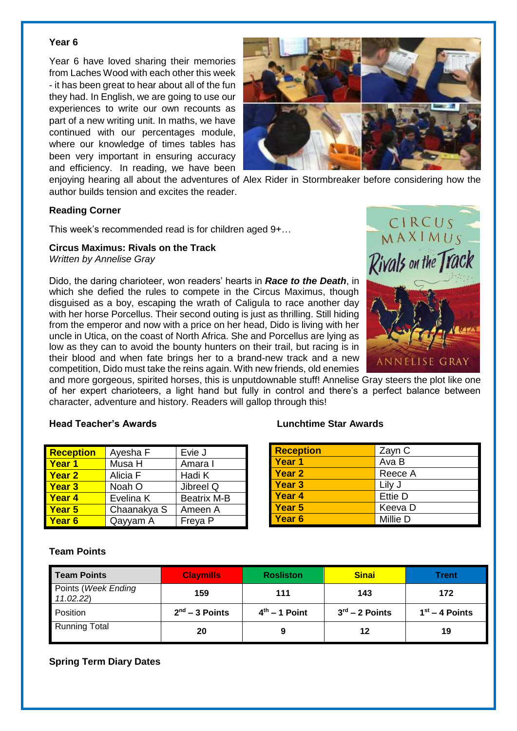#### **Year 6**

Year 6 have loved sharing their memories from Laches Wood with each other this week - it has been great to hear about all of the fun they had. In English, we are going to use our experiences to write our own recounts as part of a new writing unit. In maths, we have continued with our percentages module, where our knowledge of times tables has been very important in ensuring accuracy and efficiency. In reading, we have been



enjoying hearing all about the adventures of Alex Rider in Stormbreaker before considering how the

author builds tension and excites the reader.

#### **Reading Corner**

This week's recommended read is for children aged 9+…

#### **Circus Maximus: Rivals on the Track**

*Written by Annelise Gray*

Dido, the daring charioteer, won readers' hearts in *Race to the [Death](https://www.lovereading4kids.co.uk/book/17920/Circus-Maximus-Race-to-the-Death-by-Annelise-Gray.html)*, in which she defied the rules to compete in the Circus Maximus, though disguised as a boy, escaping the wrath of Caligula to race another day with her horse Porcellus. Their second outing is just as thrilling. Still hiding from the emperor and now with a price on her head, Dido is living with her uncle in Utica, on the coast of North Africa. She and Porcellus are lying as low as they can to avoid the bounty hunters on their trail, but racing is in their blood and when fate brings her to a brand-new track and a new competition, Dido must take the reins again. With new friends, old enemies



and more gorgeous, spirited horses, this is unputdownable stuff! Annelise Gray steers the plot like one of her expert charioteers, a light hand but fully in control and there's a perfect balance between character, adventure and history. Readers will gallop through this!

#### **Head Teacher's Awards Lunchtime Star Awards**

| <b>Reception</b> | Ayesha F    | Evie J             |
|------------------|-------------|--------------------|
| <b>Year 1</b>    | Musa H      | Amara I            |
| <b>Year 2</b>    | Alicia F    | Hadi K             |
| <b>Year 3</b>    | Noah O      | Jibreel Q          |
| <b>Year 4</b>    | Evelina K   | <b>Beatrix M-B</b> |
| <b>Year 5</b>    | Chaanakya S | Ameen A            |
| <b>Year 6</b>    | Qayyam A    | Freya P            |

| <b>Reception</b> | Zayn C         |
|------------------|----------------|
| Year 1           | Ava B          |
| <b>Year 2</b>    | Reece A        |
| <b>Year 3</b>    | Lily J         |
| <b>Year 4</b>    | <b>Ettie D</b> |
| Year 5           | Keeva D        |
| Year 6           | Millie D       |

#### **Team Points**

| Team Points                     | <b>Claymills</b> | <b>Rosliston</b> | <b>Sinai</b>     | Trent            |
|---------------------------------|------------------|------------------|------------------|------------------|
| Points (Week Ending<br>11.02.22 | 159              | 111              | 143              | 172              |
| Position                        | $2nd - 3$ Points | $4th - 1$ Point  | $3rd - 2$ Points | $1st - 4$ Points |
| <b>Running Total</b>            | 20               | 9                | 12               | 19               |

#### **Spring Term Diary Dates**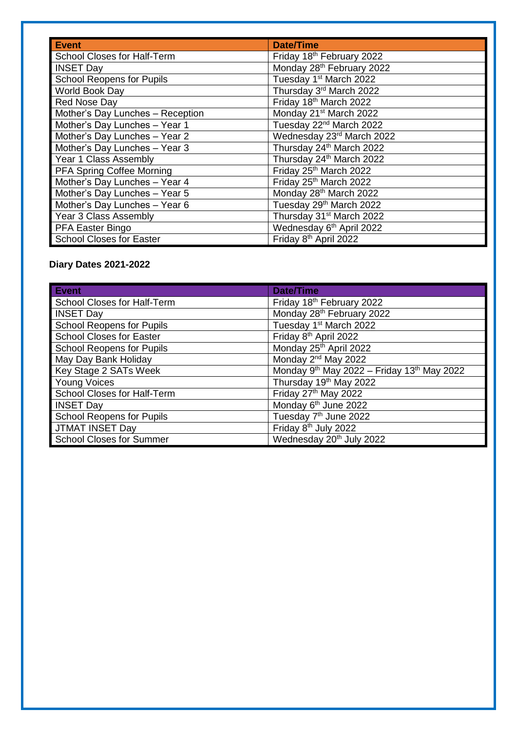| Event                              | Date/Time                             |
|------------------------------------|---------------------------------------|
| <b>School Closes for Half-Term</b> | Friday 18th February 2022             |
| <b>INSET Day</b>                   | Monday 28 <sup>th</sup> February 2022 |
| <b>School Reopens for Pupils</b>   | Tuesday 1 <sup>st</sup> March 2022    |
| World Book Day                     | Thursday 3rd March 2022               |
| Red Nose Day                       | Friday 18th March 2022                |
| Mother's Day Lunches - Reception   | Monday 21 <sup>st</sup> March 2022    |
| Mother's Day Lunches - Year 1      | Tuesday 22 <sup>nd</sup> March 2022   |
| Mother's Day Lunches - Year 2      | Wednesday 23rd March 2022             |
| Mother's Day Lunches - Year 3      | Thursday 24th March 2022              |
| Year 1 Class Assembly              | Thursday 24th March 2022              |
| PFA Spring Coffee Morning          | Friday 25th March 2022                |
| Mother's Day Lunches - Year 4      | Friday 25th March 2022                |
| Mother's Day Lunches - Year 5      | Monday 28th March 2022                |
| Mother's Day Lunches - Year 6      | Tuesday 29th March 2022               |
| Year 3 Class Assembly              | Thursday 31 <sup>st</sup> March 2022  |
| PFA Easter Bingo                   | Wednesday 6 <sup>th</sup> April 2022  |
| <b>School Closes for Easter</b>    | Friday 8 <sup>th</sup> April 2022     |

### **Diary Dates 2021-2022**

| Event/                           | <b>Date/Time</b>                           |
|----------------------------------|--------------------------------------------|
| School Closes for Half-Term      | Friday 18th February 2022                  |
| <b>INSET Day</b>                 | Monday 28th February 2022                  |
| <b>School Reopens for Pupils</b> | Tuesday 1 <sup>st</sup> March 2022         |
| School Closes for Easter         | Friday 8 <sup>th</sup> April 2022          |
| <b>School Reopens for Pupils</b> | Monday 25th April 2022                     |
| May Day Bank Holiday             | Monday 2 <sup>nd</sup> May 2022            |
| Key Stage 2 SATs Week            | Monday 9th May 2022 - Friday 13th May 2022 |
| <b>Young Voices</b>              | Thursday 19th May 2022                     |
| School Closes for Half-Term      | Friday 27th May 2022                       |
| <b>INSET Day</b>                 | Monday 6 <sup>th</sup> June 2022           |
| <b>School Reopens for Pupils</b> | Tuesday 7 <sup>th</sup> June 2022          |
| <b>JTMAT INSET Day</b>           | Friday 8 <sup>th</sup> July 2022           |
| <b>School Closes for Summer</b>  | Wednesday 20 <sup>th</sup> July 2022       |